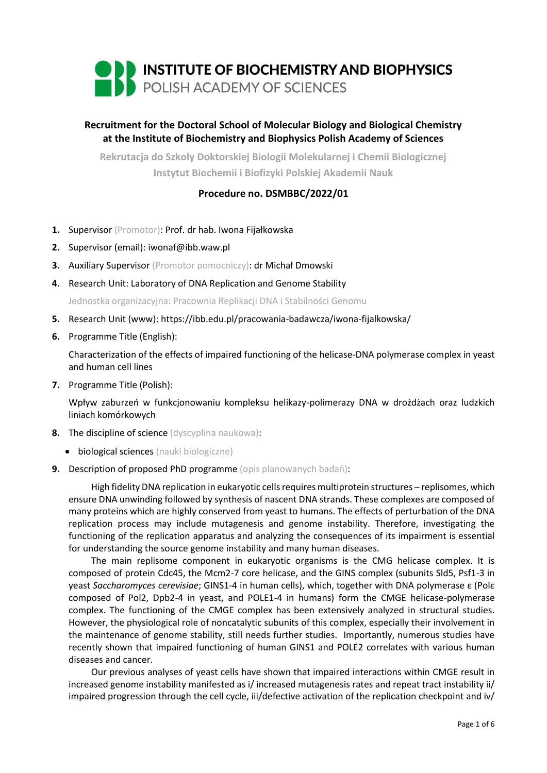

# **Recruitment for the Doctoral School of Molecular Biology and Biological Chemistry at the Institute of Biochemistry and Biophysics Polish Academy of Sciences**

**Rekrutacja do Szkoły Doktorskiej Biologii Molekularnej i Chemii Biologicznej Instytut Biochemii i Biofizyki Polskiej Akademii Nauk**

## **Procedure no. DSMBBC/2022/01**

- **1.** Supervisor (Promotor): Prof. dr hab. Iwona Fijałkowska
- **2.** Supervisor (email): iwonaf@ibb.waw.pl
- **3.** Auxiliary Supervisor (Promotor pomocniczy): dr Michał Dmowski
- **4.** Research Unit: Laboratory of DNA Replication and Genome Stability

Jednostka organizacyjna: Pracownia Replikacji DNA i Stabilności Genomu

- **5.** Research Unit (www): https://ibb.edu.pl/pracowania-badawcza/iwona-fijalkowska/
- **6.** Programme Title (English):

Characterization of the effects of impaired functioning of the helicase-DNA polymerase complex in yeast and human cell lines

**7.** Programme Title (Polish):

Wpływ zaburzeń w funkcjonowaniu kompleksu helikazy-polimerazy DNA w drożdżach oraz ludzkich liniach komórkowych

- **8.** The discipline of science (dyscyplina naukowa):
	- **•** biological sciences (nauki biologiczne)
- **9.** Description of proposed PhD programme (opis planowanych badań):

High fidelity DNA replication in eukaryotic cells requires multiprotein structures – replisomes, which ensure DNA unwinding followed by synthesis of nascent DNA strands. These complexes are composed of many proteins which are highly conserved from yeast to humans. The effects of perturbation of the DNA replication process may include mutagenesis and genome instability. Therefore, investigating the functioning of the replication apparatus and analyzing the consequences of its impairment is essential for understanding the source genome instability and many human diseases.

The main replisome component in eukaryotic organisms is the CMG helicase complex. It is composed of protein Cdc45, the Mcm2-7 core helicase, and the GINS complex (subunits Sld5, Psf1-3 in yeast *Saccharomyces cerevisiae*; GINS1-4 in human cells), which, together with DNA polymerase ε (Polε composed of Pol2, Dpb2-4 in yeast, and POLE1-4 in humans) form the CMGE helicase-polymerase complex. The functioning of the CMGE complex has been extensively analyzed in structural studies. However, the physiological role of noncatalytic subunits of this complex, especially their involvement in the maintenance of genome stability, still needs further studies. Importantly, numerous studies have recently shown that impaired functioning of human GINS1 and POLE2 correlates with various human diseases and cancer.

Our previous analyses of yeast cells have shown that impaired interactions within CMGE result in increased genome instability manifested as i/ increased mutagenesis rates and repeat tract instability ii/ impaired progression through the cell cycle, iii/defective activation of the replication checkpoint and iv/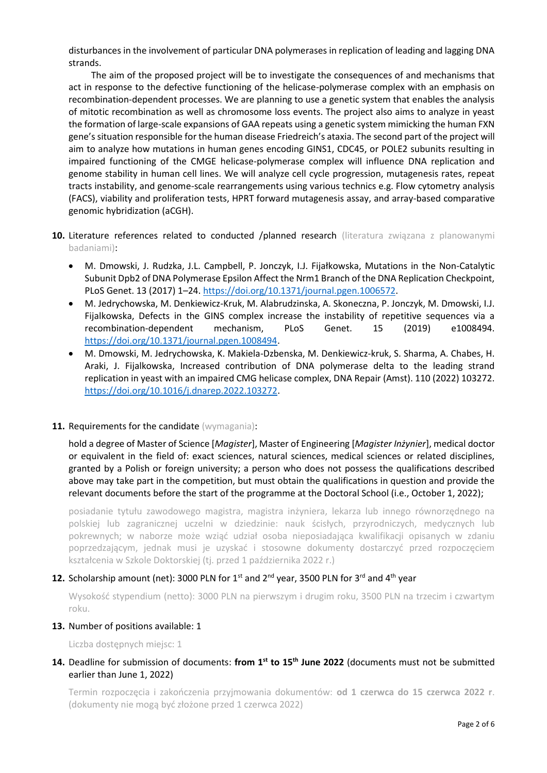disturbances in the involvement of particular DNA polymerases in replication of leading and lagging DNA strands.

The aim of the proposed project will be to investigate the consequences of and mechanisms that act in response to the defective functioning of the helicase-polymerase complex with an emphasis on recombination-dependent processes. We are planning to use a genetic system that enables the analysis of mitotic recombination as well as chromosome loss events. The project also aims to analyze in yeast the formation of large-scale expansions of GAA repeats using a genetic system mimicking the human FXN gene's situation responsible for the human disease Friedreich's ataxia. The second part of the project will aim to analyze how mutations in human genes encoding GINS1, CDC45, or POLE2 subunits resulting in impaired functioning of the CMGE helicase-polymerase complex will influence DNA replication and genome stability in human cell lines. We will analyze cell cycle progression, mutagenesis rates, repeat tracts instability, and genome-scale rearrangements using various technics e.g. Flow cytometry analysis (FACS), viability and proliferation tests, HPRT forward mutagenesis assay, and array-based comparative genomic hybridization (aCGH).

- **10.** Literature references related to conducted /planned research (literatura związana z planowanymi badaniami):
	- M. Dmowski, J. Rudzka, J.L. Campbell, P. Jonczyk, I.J. Fijałkowska, Mutations in the Non-Catalytic Subunit Dpb2 of DNA Polymerase Epsilon Affect the Nrm1 Branch of the DNA Replication Checkpoint, PLoS Genet. 13 (2017) 1–24. [https://doi.org/10.1371/journal.pgen.1006572.](https://doi.org/10.1371/journal.pgen.1006572)
	- M. Jedrychowska, M. Denkiewicz-Kruk, M. Alabrudzinska, A. Skoneczna, P. Jonczyk, M. Dmowski, I.J. Fijalkowska, Defects in the GINS complex increase the instability of repetitive sequences via a recombination-dependent mechanism, PLoS Genet. 15 (2019) e1008494. [https://doi.org/10.1371/journal.pgen.1008494.](https://doi.org/10.1371/journal.pgen.1008494)
	- M. Dmowski, M. Jedrychowska, K. Makiela-Dzbenska, M. Denkiewicz-kruk, S. Sharma, A. Chabes, H. Araki, J. Fijalkowska, Increased contribution of DNA polymerase delta to the leading strand replication in yeast with an impaired CMG helicase complex, DNA Repair (Amst). 110 (2022) 103272. [https://doi.org/10.1016/j.dnarep.2022.103272.](https://doi.org/10.1016/j.dnarep.2022.103272)

### 11. Requirements for the candidate (wymagania):

hold a degree of Master of Science [*Magister*], Master of Engineering [*Magister Inżynier*], medical doctor or equivalent in the field of: exact sciences, natural sciences, medical sciences or related disciplines, granted by a Polish or foreign university; a person who does not possess the qualifications described above may take part in the competition, but must obtain the qualifications in question and provide the relevant documents before the start of the programme at the Doctoral School (i.e., October 1, 2022);

posiadanie tytułu zawodowego magistra, magistra inżyniera, lekarza lub innego równorzędnego na polskiej lub zagranicznej uczelni w dziedzinie: nauk ścisłych, przyrodniczych, medycznych lub pokrewnych; w naborze może wziąć udział osoba nieposiadająca kwalifikacji opisanych w zdaniu poprzedzającym, jednak musi je uzyskać i stosowne dokumenty dostarczyć przed rozpoczęciem kształcenia w Szkole Doktorskiej (tj. przed 1 października 2022 r.)

# **12.** Scholarship amount (net): 3000 PLN for  $1^{st}$  and  $2^{nd}$  year, 3500 PLN for  $3^{rd}$  and  $4^{th}$  year

Wysokość stypendium (netto): 3000 PLN na pierwszym i drugim roku, 3500 PLN na trzecim i czwartym roku.

### **13.** Number of positions available: 1

Liczba dostępnych miejsc: 1

**14.** Deadline for submission of documents: **from 1st to 15th June 2022** (documents must not be submitted earlier than June 1, 2022)

Termin rozpoczęcia i zakończenia przyjmowania dokumentów: **od 1 czerwca do 15 czerwca 2022 r**. (dokumenty nie mogą być złożone przed 1 czerwca 2022)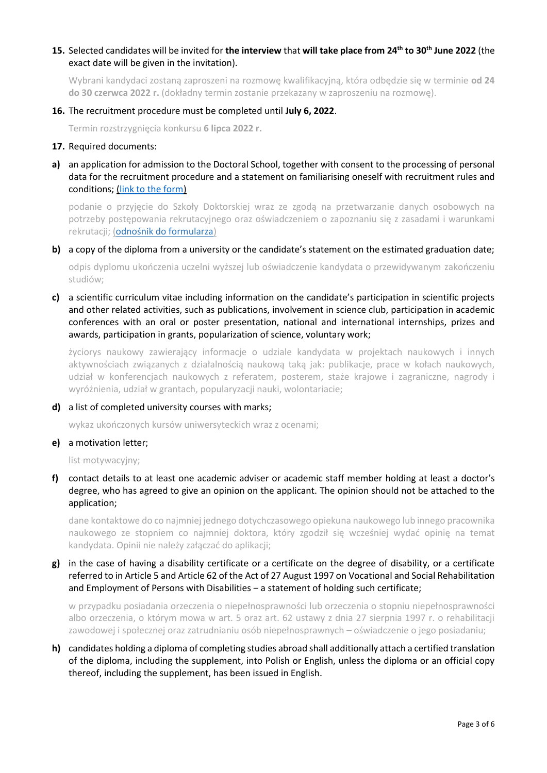## **15.** Selected candidates will be invited for **the interview** that **will take place from 24th to 30th June 2022** (the exact date will be given in the invitation).

Wybrani kandydaci zostaną zaproszeni na rozmowę kwalifikacyjną, która odbędzie się w terminie **od 24 do 30 czerwca 2022 r.** (dokładny termin zostanie przekazany w zaproszeniu na rozmowę).

#### **16.** The recruitment procedure must be completed until **July 6, 2022**.

Termin rozstrzygnięcia konkursu **6 lipca 2022 r.**

- **17.** Required documents:
- **a)** an application for admission to the Doctoral School, together with consent to the processing of personal data for the recruitment procedure and a statement on familiarising oneself with recruitment rules and conditions; [\(link to the form\)](https://ibb.edu.pl/app/uploads/2022/05/application-form_doctoralschool_ibb-pas.docx)

podanie o przyjęcie do Szkoły Doktorskiej wraz ze zgodą na przetwarzanie danych osobowych na potrzeby postępowania rekrutacyjnego oraz oświadczeniem o zapoznaniu się z zasadami i warunkami rekrutacji; ([odnośnik do formularza](https://ibb.edu.pl/app/uploads/2022/05/application-form_doctoralschool_ibb-pas.docx))

**b)** a copy of the diploma from a university or the candidate's statement on the estimated graduation date;

odpis dyplomu ukończenia uczelni wyższej lub oświadczenie kandydata o przewidywanym zakończeniu studiów;

**c)** a scientific curriculum vitae including information on the candidate's participation in scientific projects and other related activities, such as publications, involvement in science club, participation in academic conferences with an oral or poster presentation, national and international internships, prizes and awards, participation in grants, popularization of science, voluntary work;

życiorys naukowy zawierający informacje o udziale kandydata w projektach naukowych i innych aktywnościach związanych z działalnością naukową taką jak: publikacje, prace w kołach naukowych, udział w konferencjach naukowych z referatem, posterem, staże krajowe i zagraniczne, nagrody i wyróżnienia, udział w grantach, popularyzacji nauki, wolontariacie;

#### **d)** a list of completed university courses with marks;

wykaz ukończonych kursów uniwersyteckich wraz z ocenami;

#### **e)** a motivation letter;

list motywacyjny;

**f)** contact details to at least one academic adviser or academic staff member holding at least a doctor's degree, who has agreed to give an opinion on the applicant. The opinion should not be attached to the application;

dane kontaktowe do co najmniej jednego dotychczasowego opiekuna naukowego lub innego pracownika naukowego ze stopniem co najmniej doktora, który zgodził się wcześniej wydać opinię na temat kandydata. Opinii nie należy załączać do aplikacji;

## **g)** in the case of having a disability certificate or a certificate on the degree of disability, or a certificate referred to in Article 5 and Article 62 of the Act of 27 August 1997 on Vocational and Social Rehabilitation and Employment of Persons with Disabilities – a statement of holding such certificate;

w przypadku posiadania orzeczenia o niepełnosprawności lub orzeczenia o stopniu niepełnosprawności albo orzeczenia, o którym mowa w art. 5 oraz art. 62 ustawy z dnia 27 sierpnia 1997 r. o rehabilitacji zawodowej i społecznej oraz zatrudnianiu osób niepełnosprawnych – oświadczenie o jego posiadaniu;

**h)** candidates holding a diploma of completing studies abroad shall additionally attach a certified translation of the diploma, including the supplement, into Polish or English, unless the diploma or an official copy thereof, including the supplement, has been issued in English.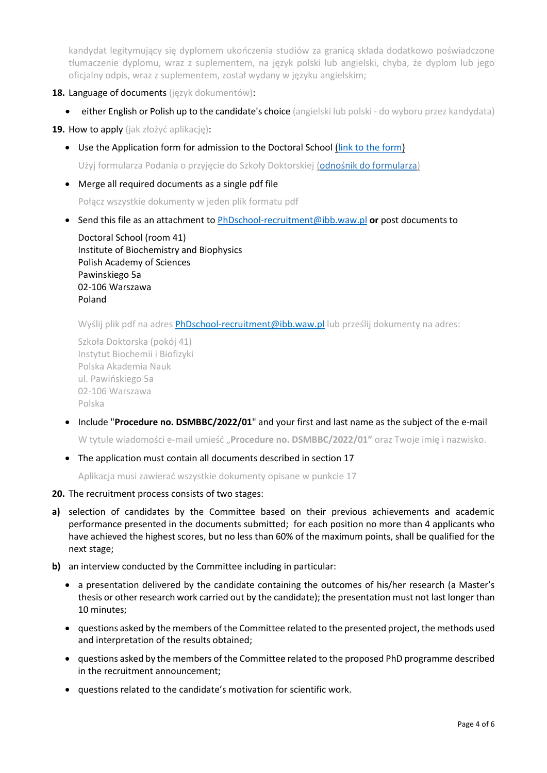kandydat legitymujący się dyplomem ukończenia studiów za granicą składa dodatkowo poświadczone tłumaczenie dyplomu, wraz z suplementem, na język polski lub angielski, chyba, że dyplom lub jego oficjalny odpis, wraz z suplementem, został wydany w języku angielskim;

- **18.** Language of documents (język dokumentów):
	- **either English or Polish up to the candidate's choice** (angielski lub polski do wyboru przez kandydata)

**19.** How to apply (jak złożyć aplikację):

Use the Application form for admission to the Doctoral School [\(link to the form\)](https://ibb.edu.pl/app/uploads/2022/05/application-form_doctoralschool_ibb-pas.docx)

Użyj formularza Podania o przyjęcie do Szkoły Doktorskiej ([odnośnik do formularza](https://ibb.edu.pl/app/uploads/2022/05/application-form_doctoralschool_ibb-pas.docx))

Merge all required documents as a single pdf file

Połącz wszystkie dokumenty w jeden plik formatu pdf

Send this file as an attachment to [PhDschool-recruitment@ibb.waw.pl](mailto:PhDschool-recruitment@ibb.waw.pl) **or** post documents to

Doctoral School (room 41) Institute of Biochemistry and Biophysics Polish Academy of Sciences Pawinskiego 5a 02-106 Warszawa Poland

Wyślij plik pdf na adres **[PhDschool-recruitment@ibb.waw.pl](mailto:PhDschool-recruitment@ibb.waw.pl)** lub prześlij dokumenty na adres:

Szkoła Doktorska (pokój 41) Instytut Biochemii i Biofizyki Polska Akademia Nauk ul. Pawińskiego 5a 02-106 Warszawa Polska

Include "**Procedure no. DSMBBC/2022/01**" and your first and last name as the subject of the e-mail

W tytule wiadomości e-mail umieść "**Procedure no. DSMBBC/2022/01"** oraz Twoje imię i nazwisko.

• The application must contain all documents described in section 17

Aplikacja musi zawierać wszystkie dokumenty opisane w punkcie 17

- **20.** The recruitment process consists of two stages:
- **a)** selection of candidates by the Committee based on their previous achievements and academic performance presented in the documents submitted; for each position no more than 4 applicants who have achieved the highest scores, but no less than 60% of the maximum points, shall be qualified for the next stage;
- **b)** an interview conducted by the Committee including in particular:
	- a presentation delivered by the candidate containing the outcomes of his/her research (a Master's thesis or other research work carried out by the candidate); the presentation must not last longer than 10 minutes;
	- questions asked by the members of the Committee related to the presented project, the methods used and interpretation of the results obtained;
	- questions asked by the members of the Committee related to the proposed PhD programme described in the recruitment announcement;
	- questions related to the candidate's motivation for scientific work.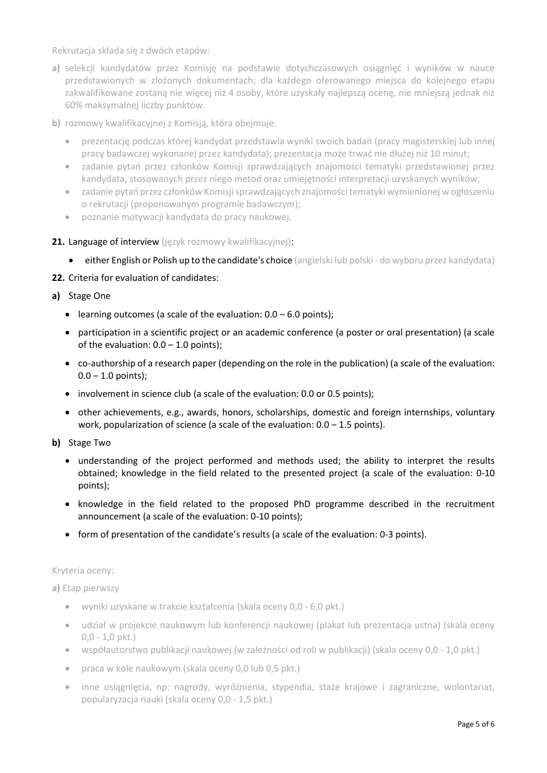Rekrutacja składa się z dwóch etapów:

- **a)** selekcji kandydatów przez Komisję na podstawie dotychczasowych osiągnięć i wyników w nauce przedstawionych w złożonych dokumentach; dla każdego oferowanego miejsca do kolejnego etapu zakwalifikowane zostaną nie więcej niż 4 osoby, które uzyskały najlepszą ocenę, nie mniejszą jednak niż 60% maksymalnej liczby punktów.
- **b)** rozmowy kwalifikacyjnej z Komisją, która obejmuje:
	- prezentację podczas której kandydat przedstawia wyniki swoich badań (pracy magisterskiej lub innej pracy badawczej wykonanej przez kandydata); prezentacja może trwać nie dłużej niż 10 minut;
	- zadanie pytań przez członków Komisji sprawdzających znajomości tematyki przedstawionej przez kandydata, stosowanych przez niego metod oraz umiejętności interpretacji uzyskanych wyników;
	- zadanie pytań przez członków Komisji sprawdzających znajomości tematyki wymienionej w ogłoszeniu o rekrutacji (proponowanym programie badawczym);
	- poznanie motywacji kandydata do pracy naukowej.
- 21. Language of interview (język rozmowy kwalifikacyjnej):
	- either English or Polish up to the candidate's choice (angielski lub polski do wyboru przez kandydata)
- **22.** Criteria for evaluation of candidates:
- **a)** Stage One
	- learning outcomes (a scale of the evaluation:  $0.0 6.0$  points);
	- participation in a scientific project or an academic conference (a poster or oral presentation) (a scale of the evaluation:  $0.0 - 1.0$  points);
	- co-authorship of a research paper (depending on the role in the publication) (a scale of the evaluation:  $0.0 - 1.0$  points);
	- involvement in science club (a scale of the evaluation: 0.0 or 0.5 points);
	- other achievements, e.g., awards, honors, scholarships, domestic and foreign internships, voluntary work, popularization of science (a scale of the evaluation:  $0.0 - 1.5$  points).
- **b)** Stage Two
	- understanding of the project performed and methods used; the ability to interpret the results obtained; knowledge in the field related to the presented project (a scale of the evaluation: 0-10 points);
	- knowledge in the field related to the proposed PhD programme described in the recruitment announcement (a scale of the evaluation: 0-10 points);
	- form of presentation of the candidate's results (a scale of the evaluation: 0-3 points).

### Kryteria oceny:

**a)** Etap pierwszy

- wyniki uzyskane w trakcie kształcenia (skala oceny 0,0 6,0 pkt.)
- udział w projekcie naukowym lub konferencji naukowej (plakat lub prezentacja ustna) (skala oceny 0,0 - 1,0 pkt.)
- współautorstwo publikacji naukowej (w zależności od roli w publikacji) (skala oceny 0,0 1,0 pkt.)
- praca w kole naukowym (skala oceny 0,0 lub 0,5 pkt.)
- inne osiągnięcia, np: nagrody, wyróżnienia, stypendia, staże krajowe i zagraniczne, wolontariat, popularyzacja nauki (skala oceny 0,0 - 1,5 pkt.)